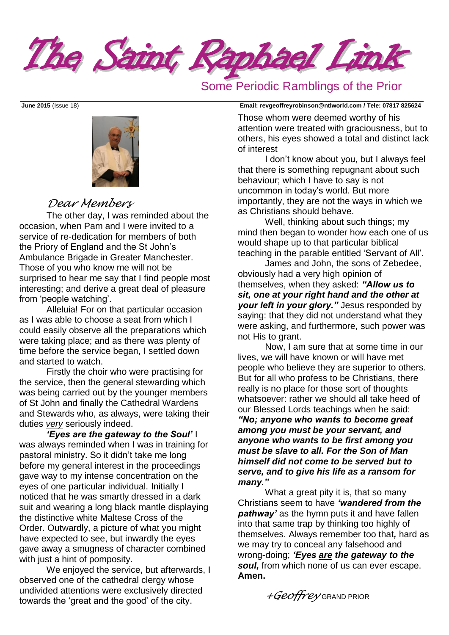The Saint Raphael Link

## Some Periodic Ramblings of the Prior



## *Dear Members*

The other day, I was reminded about the occasion, when Pam and I were invited to a service of re-dedication for members of both the Priory of England and the St John's Ambulance Brigade in Greater Manchester. Those of you who know me will not be surprised to hear me say that I find people most interesting; and derive a great deal of pleasure from 'people watching'.

Alleluia! For on that particular occasion as I was able to choose a seat from which I could easily observe all the preparations which were taking place; and as there was plenty of time before the service began, I settled down and started to watch.

Firstly the choir who were practising for the service, then the general stewarding which was being carried out by the younger members of St John and finally the Cathedral Wardens and Stewards who, as always, were taking their duties *very* seriously indeed.

*'Eyes are the gateway to the Soul'* I was always reminded when I was in training for pastoral ministry. So it didn't take me long before my general interest in the proceedings gave way to my intense concentration on the eyes of one particular individual. Initially I noticed that he was smartly dressed in a dark suit and wearing a long black mantle displaying the distinctive white Maltese Cross of the Order. Outwardly, a picture of what you might have expected to see, but inwardly the eyes gave away a smugness of character combined with just a hint of pomposity.

We enjoyed the service, but afterwards, I observed one of the cathedral clergy whose undivided attentions were exclusively directed towards the 'great and the good' of the city.

**June 2015** (Issue 18) **Email: [revgeoffreyrobinson@ntlworld.com](mailto:revgeoffreyrobinson@ntlworld.com) / Tele: 07817 825624**

Those whom were deemed worthy of his attention were treated with graciousness, but to others, his eyes showed a total and distinct lack of interest

I don't know about you, but I always feel that there is something repugnant about such behaviour; which I have to say is not uncommon in today's world. But more importantly, they are not the ways in which we as Christians should behave.

Well, thinking about such things; my mind then began to wonder how each one of us would shape up to that particular biblical teaching in the parable entitled 'Servant of All'.

James and John, the sons of Zebedee, obviously had a very high opinion of themselves, when they asked: *"Allow us to sit, one at your right hand and the other at your left in your glory."* Jesus responded by saying: that they did not understand what they were asking, and furthermore, such power was not His to grant.

Now, I am sure that at some time in our lives, we will have known or will have met people who believe they are superior to others. But for all who profess to be Christians, there really is no place for those sort of thoughts whatsoever: rather we should all take heed of our Blessed Lords teachings when he said: *"No; anyone who wants to become great* 

*among you must be your servant, and anyone who wants to be first among you must be slave to all. For the Son of Man himself did not come to be served but to serve, and to give his life as a ransom for many."*

What a great pity it is, that so many Christians seem to have *'wandered from the pathway'* as the hymn puts it and have fallen into that same trap by thinking too highly of themselves. Always remember too that*,* hard as we may try to conceal any falsehood and wrong-doing; *'Eyes are the gateway to the soul,* from which none of us can ever escape. **Amen.**

*+Geoffrey* GRAND PRIOR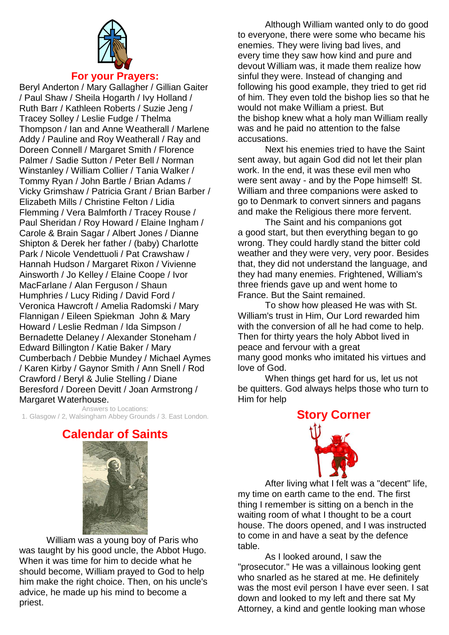

#### **For your Prayers:**

Beryl Anderton / Mary Gallagher / Gillian Gaiter / Paul Shaw / Sheila Hogarth / Ivy Holland / Ruth Barr / Kathleen Roberts / Suzie Jeng / Tracey Solley / Leslie Fudge / Thelma Thompson / Ian and Anne Weatherall / Marlene Addy / Pauline and Roy Weatherall / Ray and Doreen Connell / Margaret Smith / Florence Palmer / Sadie Sutton / Peter Bell / Norman Winstanley / William Collier / Tania Walker / Tommy Ryan / John Bartle / Brian Adams / Vicky Grimshaw / Patricia Grant / Brian Barber / Elizabeth Mills / Christine Felton / Lidia Flemming / Vera Balmforth / Tracey Rouse / Paul Sheridan / Roy Howard / Elaine Ingham / Carole & Brain Sagar / Albert Jones / Dianne Shipton & Derek her father / (baby) Charlotte Park / Nicole Vendettuoli / Pat Crawshaw / Hannah Hudson / Margaret Rixon / Vivienne Ainsworth / Jo Kelley / Elaine Coope / Ivor MacFarlane / Alan Ferguson / Shaun Humphries / Lucy Riding / David Ford / Veronica Hawcroft / Amelia Radomski / Mary Flannigan / Eileen Spiekman John & Mary Howard / Leslie Redman / Ida Simpson / Bernadette Delaney / Alexander Stoneham / Edward Billington / Katie Baker / Mary Cumberbach / Debbie Mundey / Michael Aymes / Karen Kirby / Gaynor Smith / Ann Snell / Rod Crawford / Beryl & Julie Stelling / Diane Beresford / Doreen Devitt / Joan Armstrong / Margaret Waterhouse.

Answers to Locations: 1. Glasgow / 2, Walsingham Abbey Grounds / 3. East London.

Although William wanted only to do [good](http://www.catholic.org/encyclopedia/view.php?id=5257) to everyone, there were some who became his enemies. They were living bad lives, and every [time](http://www.catholic.org/encyclopedia/view.php?id=11571) they saw how kind and pure and devout William was, it made them realize how sinful they were. Instead of changing and following his [good](http://www.catholic.org/encyclopedia/view.php?id=5257) example, they tried to get rid of him. They even told the [bishop](http://www.catholic.org/encyclopedia/view.php?id=1918) lies so that he would not make William a priest. But the [bishop](http://www.catholic.org/encyclopedia/view.php?id=1918) knew what a holy [man](http://www.catholic.org/encyclopedia/view.php?id=7463) William really was and he paid no attention to the false accusations.

Next his enemies tried to have the Saint sent away, but again [God](http://www.catholic.org/encyclopedia/view.php?id=5217) did not let their plan work. In the end, it was these [evil](http://www.catholic.org/encyclopedia/view.php?id=4469) men who were sent away - and by the Pope himself! [St.](http://www.catholic.org/saints/saint.php?saint_id=5875)  [William](http://www.catholic.org/saints/saint.php?saint_id=5875) and three companions were asked to go to [Denmark](http://www.catholic.org/encyclopedia/view.php?id=3762) to convert sinners and pagans and make the Religious there more fervent.

The Saint and his companions got a [good](http://www.catholic.org/encyclopedia/view.php?id=5257) start, but then everything began to go wrong. They could hardly stand the bitter cold weather and they were very, very poor. Besides that, they did not understand the language, and they had many enemies. Frightened, William's three friends gave up and went home to France. But the Saint remained.

To show how pleased He was with St. William's trust in Him, Our [Lord](http://www.catholic.org/encyclopedia/view.php?id=5217) rewarded him with the [conversion](http://www.catholic.org/encyclopedia/view.php?id=3334) of all he had come to help. Then for thirty years the holy [Abbot](http://www.catholic.org/encyclopedia/view.php?id=22) lived in peace and fervour with a great many [good](http://www.catholic.org/encyclopedia/view.php?id=5257) monks who imitated his virtues and love of God.

When things get hard for us, let us not be quitters. [God](http://www.catholic.org/encyclopedia/view.php?id=5217) always helps those who turn to Him for help

**Story Corner**



After living what I felt was a "decent" life, my time on earth came to the end. The first thing I remember is sitting on a bench in the waiting room of what I thought to be a court house. The doors opened, and I was instructed to come in and have a seat by the defence table.

As I looked around, I saw the "prosecutor." He was a villainous looking gent who snarled as he stared at me. He definitely was the most evil person I have ever seen. I sat down and looked to my left and there sat My Attorney, a kind and gentle looking man whose

# **Calendar of Saints**



William was a young boy of [Paris](http://www.catholic.org/encyclopedia/view.php?id=8987) who was taught by his [good](http://www.catholic.org/encyclopedia/view.php?id=5257) uncle, the [Abbot](http://www.catholic.org/encyclopedia/view.php?id=22) Hugo. When it was [time](http://www.catholic.org/encyclopedia/view.php?id=11571) for him to decide what he should become, William prayed to [God](http://www.catholic.org/encyclopedia/view.php?id=5217) to help him make the [right](http://www.catholic.org/encyclopedia/view.php?id=10046) choice. Then, on his uncle's advice, he made up his [mind](http://www.catholic.org/encyclopedia/view.php?id=8001) to become a priest.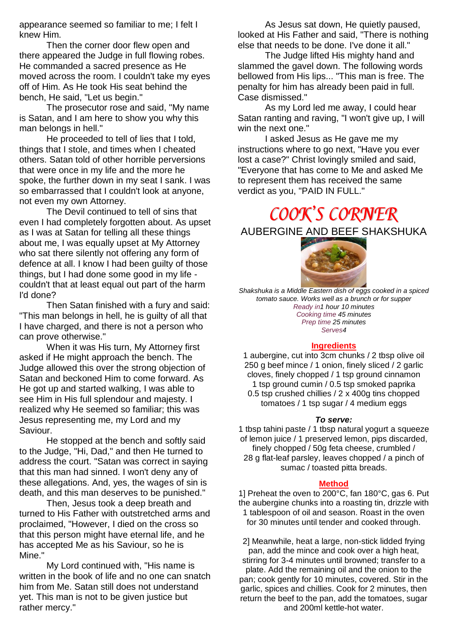appearance seemed so familiar to me; I felt I knew Him.

Then the corner door flew open and there appeared the Judge in full flowing robes. He commanded a sacred presence as He moved across the room. I couldn't take my eyes off of Him. As He took His seat behind the bench, He said, "Let us begin."

The prosecutor rose and said, "My name is Satan, and I am here to show you why this man belongs in hell."

He proceeded to tell of lies that I told, things that I stole, and times when I cheated others. Satan told of other horrible perversions that were once in my life and the more he spoke, the further down in my seat I sank. I was so embarrassed that I couldn't look at anyone, not even my own Attorney.

The Devil continued to tell of sins that even I had completely forgotten about. As upset as I was at Satan for telling all these things about me, I was equally upset at My Attorney who sat there silently not offering any form of defence at all. I know I had been guilty of those things, but I had done some good in my life couldn't that at least equal out part of the harm I'd done?

Then Satan finished with a fury and said: "This man belongs in hell, he is guilty of all that I have charged, and there is not a person who can prove otherwise."

When it was His turn, My Attorney first asked if He might approach the bench. The Judge allowed this over the strong objection of Satan and beckoned Him to come forward. As He got up and started walking, I was able to see Him in His full splendour and majesty. I realized why He seemed so familiar; this was Jesus representing me, my Lord and my Saviour.

He stopped at the bench and softly said to the Judge, "Hi, Dad," and then He turned to address the court. "Satan was correct in saying that this man had sinned. I won't deny any of these allegations. And, yes, the wages of sin is death, and this man deserves to be punished."

Then, Jesus took a deep breath and turned to His Father with outstretched arms and proclaimed, "However, I died on the cross so that this person might have eternal life, and he has accepted Me as his Saviour, so he is Mine."

My Lord continued with, "His name is written in the book of life and no one can snatch him from Me. Satan still does not understand yet. This man is not to be given justice but rather mercy."

As Jesus sat down, He quietly paused, looked at His Father and said, "There is nothing else that needs to be done. I've done it all."

The Judge lifted His mighty hand and slammed the gavel down. The following words bellowed from His lips... "This man is free. The penalty for him has already been paid in full. Case dismissed."

As my Lord led me away, I could hear Satan ranting and raving, "I won't give up, I will win the next one."

I asked Jesus as He gave me my instructions where to go next, "Have you ever lost a case?" Christ lovingly smiled and said, "Everyone that has come to Me and asked Me to represent them has received the same verdict as you, "PAID IN FULL."

# COOK'S CORNER

AUBERGINE AND BEEF SHAKSHUKA



*Shakshuka is a Middle Eastern dish of eggs cooked in a spiced tomato sauce. Works well as a brunch or for supper Ready in1 hour 10 minutes Cooking time 45 minutes Prep time 25 minutes Serves4*

#### **[Ingredients](https://www.homemadebyyou.co.uk/recipes/main-courses/aubergine-and-beef-shakshuka)**

1 aubergine, cut into 3cm chunks / 2 tbsp olive oil 250 g beef mince / 1 onion, finely sliced / 2 garlic cloves, finely chopped / 1 tsp ground cinnamon 1 tsp ground cumin / 0.5 tsp smoked paprika 0.5 tsp crushed chillies / 2 x 400g tins chopped tomatoes / 1 tsp sugar / 4 medium eggs

#### *To serve:*

1 tbsp tahini paste / 1 tbsp natural yogurt a squeeze of lemon juice / 1 preserved lemon, pips discarded, finely chopped / 50g feta cheese, crumbled / 28 g flat-leaf parsley, leaves chopped / a pinch of sumac / toasted pitta breads.

#### **[Method](https://www.homemadebyyou.co.uk/recipes/main-courses/aubergine-and-beef-shakshuka)**

1] Preheat the oven to 200°C, fan 180°C, gas 6. Put the aubergine chunks into a roasting tin, drizzle with 1 tablespoon of oil and season. Roast in the oven for 30 minutes until tender and cooked through.

2] Meanwhile, heat a large, non-stick lidded frying pan, add the mince and cook over a high heat, stirring for 3-4 minutes until browned; transfer to a plate. Add the remaining oil and the onion to the pan; cook gently for 10 minutes, covered. Stir in the garlic, spices and chillies. Cook for 2 minutes, then return the beef to the pan, add the tomatoes, sugar and 200ml kettle-hot water.